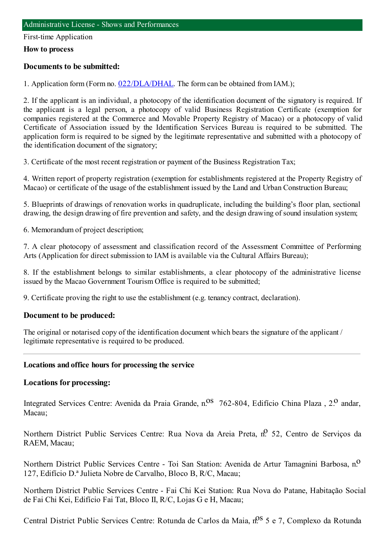#### First-time Application

#### **How to process**

### **Documents to be submitted:**

1. Application form (Form no. [022/DLA/DHAL](https://www.iam.gov.mo/c/pdf/eformDetail/PDF1013). The form can be obtained from IAM.);

2. If the applicant is an individual, a photocopy of the identification document of the signatory is required. If the applicant is a legal person, a photocopy of valid Business Registration Certificate (exemption for companies registered at the Commerce and Movable Property Registry of Macao) or a photocopy of valid Certificate of Association issued by the Identification Services Bureau is required to be submitted. The application form is required to be signed by the legitimate representative and submitted with a photocopy of the identification document of the signatory;

3. Certificate of the most recent registration or payment of the Business Registration Tax;

4. Written report of property registration (exemption for establishments registered at the Property Registry of Macao) or certificate of the usage of the establishment issued by the Land and Urban Construction Bureau;

5. Blueprints of drawings of renovation works in quadruplicate, including the building's floor plan, sectional drawing, the design drawing of fire prevention and safety, and the design drawing of sound insulation system;

6. Memorandumof project description;

7. A clear photocopy of assessment and classification record of the Assessment Committee of Performing Arts (Application for direct submission to IAM is available via the Cultural Affairs Bureau);

8. If the establishment belongs to similar establishments, a clear photocopy of the administrative license issued by the Macao Government TourismOffice is required to be submitted;

9. Certificate proving the right to use the establishment (e.g. tenancy contract, declaration).

### **Document to be produced:**

The original or notarised copy of the identification document which bears the signature of the applicant / legitimate representative is required to be produced.

### **Locations and office hours for processing the service**

### **Locations for processing:**

Integrated Services Centre: Avenida da Praia Grande, n.<sup>0S</sup> 762-804, Edifício China Plaza , 2.<sup>0</sup> andar. Macau;

Northern District Public Services Centre: Rua Nova da Areia Preta, n.º 52, Centro de Servicos da RAEM, Macau;

Northern District Public Services Centre - Toi San Station: Avenida de Artur Tamagnini Barbosa, n.<sup>0</sup> 127, Edifício D.ª Julieta Nobre de Carvalho, Bloco B, R/C, Macau;

Northern District Public Services Centre - Fai Chi Kei Station: Rua Nova do Patane, Habitação Social de Fai Chi Kei, Edifício Fai Tat, Bloco II, R/C, Lojas G e H, Macau;

Central District Public Services Centre: Rotunda de Carlos da Maia, n.º 5 e 7, Complexo da Rotunda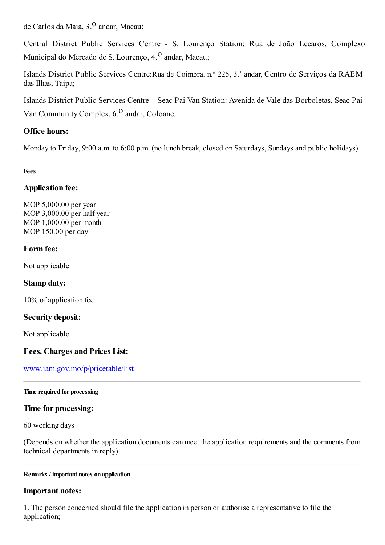de Carlos da Maia, 3.<sup>0</sup> andar, Macau;

Central District Public Services Centre - S. Lourenço Station: Rua de João Lecaros, Complexo Municipal do Mercado de S. Lourenco, 4.<sup>0</sup> andar, Macau;

Islands District Public Services Centre:Rua de Coimbra, n.º 225, 3.˚ andar, Centro de Serviços da RAEM das Ilhas, Taipa;

Islands District Public Services Centre – Seac Pai Van Station: Avenida de Vale das Borboletas, Seac Pai Van Community Complex,  $6<sup>0</sup>$  andar, Coloane.

# **Office hours:**

Monday to Friday, 9:00 a.m. to 6:00 p.m. (no lunch break, closed on Saturdays, Sundays and public holidays)

**Fees**

## **Application fee:**

MOP 5,000.00 per year MOP 3,000.00 per half year MOP 1,000.00 per month MOP 150.00 per day

### **Form fee:**

Not applicable

## **Stamp duty:**

10% of application fee

## **Security deposit:**

Not applicable

## **Fees, Charges and Prices List:**

[www.iam.gov.mo/p/pricetable/list](http://www.iam.gov.mo/p/pricetable/list)

### **Time required for processing**

### **Time for processing:**

60 working days

(Depends on whether the application documents can meet the application requirements and the comments from technical departments in reply)

### **Remarks / important notes on application**

## **Important notes:**

1. The person concerned should file the application in person or authorise a representative to file the application;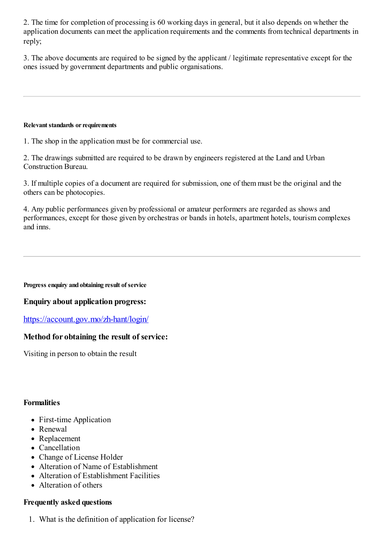2. The time for completion of processing is 60 working days in general, but it also depends on whether the application documents can meet the application requirements and the comments fromtechnical departments in reply;

3. The above documents are required to be signed by the applicant / legitimate representative except for the ones issued by government departments and public organisations.

#### **Relevant standards or requirements**

1. The shop in the application must be for commercial use.

2. The drawings submitted are required to be drawn by engineers registered at the Land and Urban Construction Bureau.

3. If multiple copies of a document are required for submission, one of themmust be the original and the others can be photocopies.

4. Any public performances given by professional or amateur performers are regarded as shows and performances, except for those given by orchestras or bands in hotels, apartment hotels, tourismcomplexes and inns.

**Progress enquiry and obtaining result of service**

### **Enquiry about application progress:**

<https://account.gov.mo/zh-hant/login/>

### **Method for obtaining the result of service:**

Visiting in person to obtain the result

### **Formalities**

- First-time Application
- Renewal
- Replacement
- Cancellation
- Change of License Holder
- Alteration of Name of Establishment
- Alteration of Establishment Facilities
- Alteration of others

### **Frequently asked questions**

1. What is the definition of application for license?